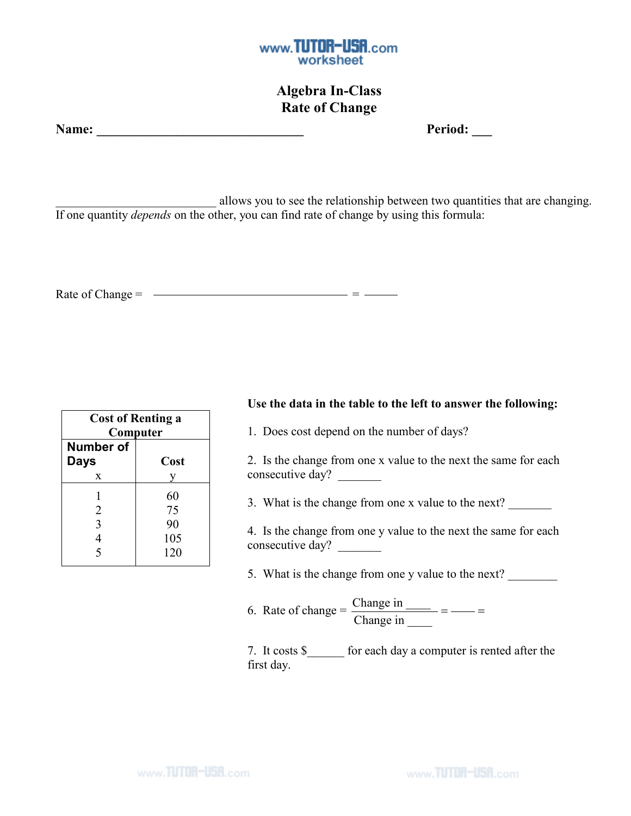

## Algebra In-Class Rate of Change

| Name: |  |
|-------|--|
|       |  |

Period:

allows you to see the relationship between two quantities that are changing. If one quantity *depends* on the other, you can find rate of change by using this formula:

Rate of Change =  $\frac{1}{2}$ 

| <b>Cost of Renting a</b><br>Computer |      |  |  |
|--------------------------------------|------|--|--|
| <b>Number of</b>                     |      |  |  |
| <b>Days</b>                          | Cost |  |  |
| X                                    |      |  |  |
|                                      | 60   |  |  |
| 2                                    | 75   |  |  |
| 3                                    | 90   |  |  |
|                                      | 105  |  |  |
| 5                                    | 120  |  |  |

## Use the data in the table to the left to answer the following:

1. Does cost depend on the number of days?

2. Is the change from one x value to the next the same for each consecutive day?

3. What is the change from one x value to the next?

4. Is the change from one y value to the next the same for each consecutive day?

5. What is the change from one y value to the next?

6. Rate of change =  $\frac{\text{Change in}}{\text{S}}$ Change in  $\_\_$  $=$   $=$ 

7. It costs \$\_\_\_\_\_\_ for each day a computer is rented after the first day.